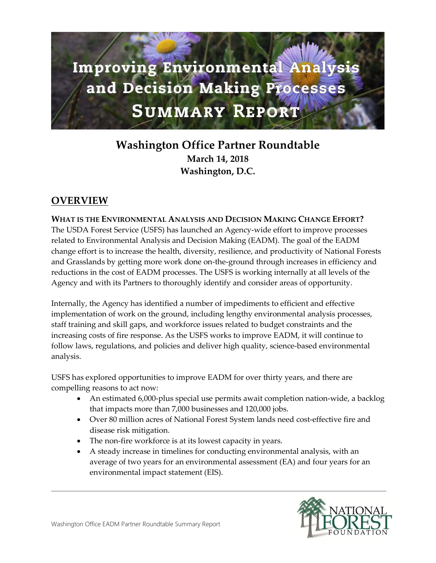# **Improving Environmental Analysis** and Decision Making Processes **SUMMARY REPORT**

# **Washington Office Partner Roundtable March 14, 2018 Washington, D.C.**

## **OVERVIEW**

**WHAT IS THE ENVIRONMENTAL ANALYSIS AND DECISION MAKING CHANGE EFFORT?** The USDA Forest Service (USFS) has launched an Agency-wide effort to improve processes related to Environmental Analysis and Decision Making (EADM). The goal of the EADM change effort is to increase the health, diversity, resilience, and productivity of National Forests and Grasslands by getting more work done on-the-ground through increases in efficiency and reductions in the cost of EADM processes. The USFS is working internally at all levels of the Agency and with its Partners to thoroughly identify and consider areas of opportunity.

Internally, the Agency has identified a number of impediments to efficient and effective implementation of work on the ground, including lengthy environmental analysis processes, staff training and skill gaps, and workforce issues related to budget constraints and the increasing costs of fire response. As the USFS works to improve EADM, it will continue to follow laws, regulations, and policies and deliver high quality, science-based environmental analysis.

USFS has explored opportunities to improve EADM for over thirty years, and there are compelling reasons to act now:

- An estimated 6,000-plus special use permits await completion nation-wide, a backlog that impacts more than 7,000 businesses and 120,000 jobs.
- Over 80 million acres of National Forest System lands need cost-effective fire and disease risk mitigation.
- The non-fire workforce is at its lowest capacity in years.
- A steady increase in timelines for conducting environmental analysis, with an average of two years for an environmental assessment (EA) and four years for an environmental impact statement (EIS).

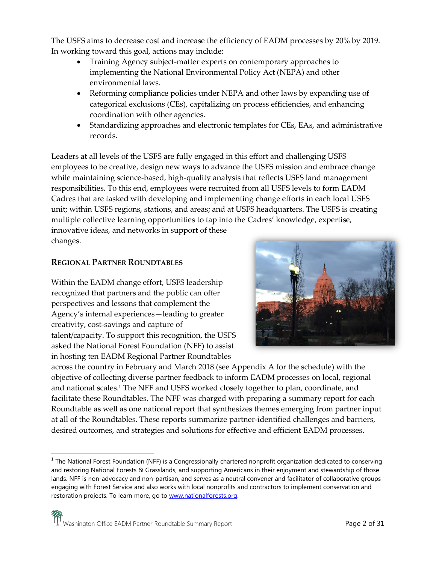The USFS aims to decrease cost and increase the efficiency of EADM processes by 20% by 2019. In working toward this goal, actions may include:

- Training Agency subject-matter experts on contemporary approaches to implementing the National Environmental Policy Act (NEPA) and other environmental laws.
- Reforming compliance policies under NEPA and other laws by expanding use of categorical exclusions (CEs), capitalizing on process efficiencies, and enhancing coordination with other agencies.
- Standardizing approaches and electronic templates for CEs, EAs, and administrative records.

Leaders at all levels of the USFS are fully engaged in this effort and challenging USFS employees to be creative, design new ways to advance the USFS mission and embrace change while maintaining science-based, high-quality analysis that reflects USFS land management responsibilities. To this end, employees were recruited from all USFS levels to form EADM Cadres that are tasked with developing and implementing change efforts in each local USFS unit; within USFS regions, stations, and areas; and at USFS headquarters. The USFS is creating multiple collective learning opportunities to tap into the Cadres' knowledge, expertise, innovative ideas, and networks in support of these changes.

#### **REGIONAL PARTNER ROUNDTABLES**

 $\overline{\phantom{a}}$ 

Within the EADM change effort, USFS leadership recognized that partners and the public can offer perspectives and lessons that complement the Agency's internal experiences—leading to greater creativity, cost-savings and capture of talent/capacity. To support this recognition, the USFS asked the National Forest Foundation (NFF) to assist in hosting ten EADM Regional Partner Roundtables



across the country in February and March 2018 (see Appendix A for the schedule) with the objective of collecting diverse partner feedback to inform EADM processes on local, regional and national scales.<sup>1</sup> The NFF and USFS worked closely together to plan, coordinate, and facilitate these Roundtables. The NFF was charged with preparing a summary report for each Roundtable as well as one national report that synthesizes themes emerging from partner input at all of the Roundtables. These reports summarize partner-identified challenges and barriers, desired outcomes, and strategies and solutions for effective and efficient EADM processes.

<sup>&</sup>lt;sup>1</sup> The National Forest Foundation (NFF) is a Congressionally chartered nonprofit organization dedicated to conserving and restoring National Forests & Grasslands, and supporting Americans in their enjoyment and stewardship of those lands. NFF is non-advocacy and non-partisan, and serves as a neutral convener and facilitator of collaborative groups engaging with Forest Service and also works with local nonprofits and contractors to implement conservation and restoration projects. To learn more, go t[o www.nationalforests.org.](http://www.nationalforests.org/)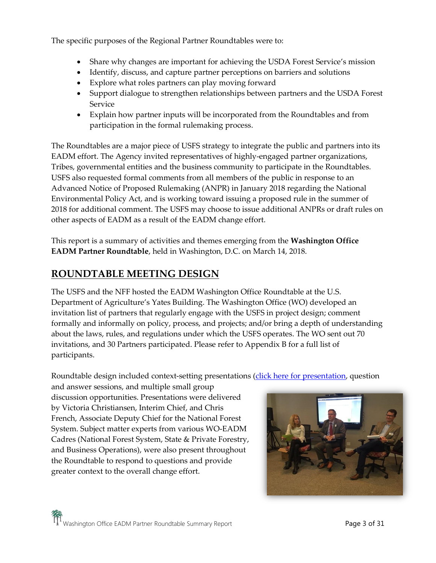The specific purposes of the Regional Partner Roundtables were to:

- Share why changes are important for achieving the USDA Forest Service's mission
- Identify, discuss, and capture partner perceptions on barriers and solutions
- Explore what roles partners can play moving forward
- Support dialogue to strengthen relationships between partners and the USDA Forest Service
- Explain how partner inputs will be incorporated from the Roundtables and from participation in the formal rulemaking process.

The Roundtables are a major piece of USFS strategy to integrate the public and partners into its EADM effort. The Agency invited representatives of highly-engaged partner organizations, Tribes, governmental entities and the business community to participate in the Roundtables. USFS also requested formal comments from all members of the public in response to an Advanced Notice of Proposed Rulemaking (ANPR) in January 2018 regarding the National Environmental Policy Act, and is working toward issuing a proposed rule in the summer of 2018 for additional comment. The USFS may choose to issue additional ANPRs or draft rules on other aspects of EADM as a result of the EADM change effort.

This report is a summary of activities and themes emerging from the **Washington Office EADM Partner Roundtable**, held in Washington, D.C. on March 14, 2018.

## **ROUNDTABLE MEETING DESIGN**

The USFS and the NFF hosted the EADM Washington Office Roundtable at the U.S. Department of Agriculture's Yates Building. The Washington Office (WO) developed an invitation list of partners that regularly engage with the USFS in project design; comment formally and informally on policy, process, and projects; and/or bring a depth of understanding about the laws, rules, and regulations under which the USFS operates. The WO sent out 70 invitations, and 30 Partners participated. Please refer to Appendix B for a full list of participants.

Roundtable design included context-setting presentations [\(click here for presentation,](https://www.nationalforests.org/assets/pdfs/Washington-Office-EADM-Roundtable-PowerPoint.pdf) question

and answer sessions, and multiple small group discussion opportunities. Presentations were delivered by Victoria Christiansen, Interim Chief, and Chris French, Associate Deputy Chief for the National Forest System. Subject matter experts from various WO-EADM Cadres (National Forest System, State & Private Forestry, and Business Operations), were also present throughout the Roundtable to respond to questions and provide greater context to the overall change effort.

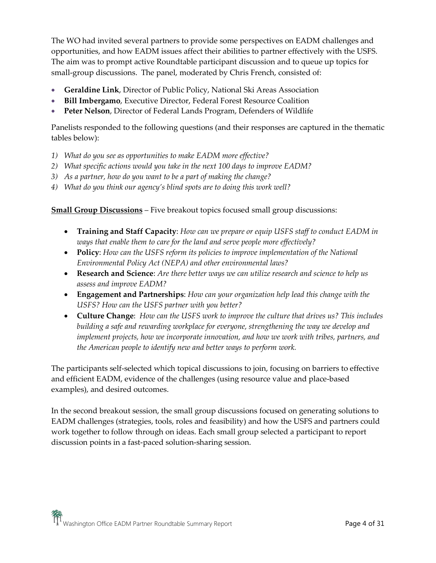The WO had invited several partners to provide some perspectives on EADM challenges and opportunities, and how EADM issues affect their abilities to partner effectively with the USFS. The aim was to prompt active Roundtable participant discussion and to queue up topics for small-group discussions. The panel, moderated by Chris French, consisted of:

- **Geraldine Link**, Director of Public Policy, National Ski Areas Association
- **Bill Imbergamo**, Executive Director, Federal Forest Resource Coalition
- **Peter Nelson**, Director of Federal Lands Program, Defenders of Wildlife

Panelists responded to the following questions (and their responses are captured in the thematic tables below):

- *1) What do you see as opportunities to make EADM more effective?*
- *2) What specific actions would you take in the next 100 days to improve EADM?*
- *3) As a partner, how do you want to be a part of making the change?*
- *4) What do you think our agency's blind spots are to doing this work well?*

#### **Small Group Discussions** – Five breakout topics focused small group discussions:

- **Training and Staff Capacity**: *How can we prepare or equip USFS staff to conduct EADM in ways that enable them to care for the land and serve people more effectively?*
- **Policy**: *How can the USFS reform its policies to improve implementation of the National Environmental Policy Act (NEPA) and other environmental laws?*
- **Research and Science**: *Are there better ways we can utilize research and science to help us assess and improve EADM?*
- **Engagement and Partnerships**: *How can your organization help lead this change with the USFS? How can the USFS partner with you better?*
- **Culture Change**: *How can the USFS work to improve the culture that drives us? This includes building a safe and rewarding workplace for everyone, strengthening the way we develop and implement projects, how we incorporate innovation, and how we work with tribes, partners, and the American people to identify new and better ways to perform work.*

The participants self-selected which topical discussions to join, focusing on barriers to effective and efficient EADM, evidence of the challenges (using resource value and place-based examples), and desired outcomes.

In the second breakout session, the small group discussions focused on generating solutions to EADM challenges (strategies, tools, roles and feasibility) and how the USFS and partners could work together to follow through on ideas. Each small group selected a participant to report discussion points in a fast-paced solution-sharing session.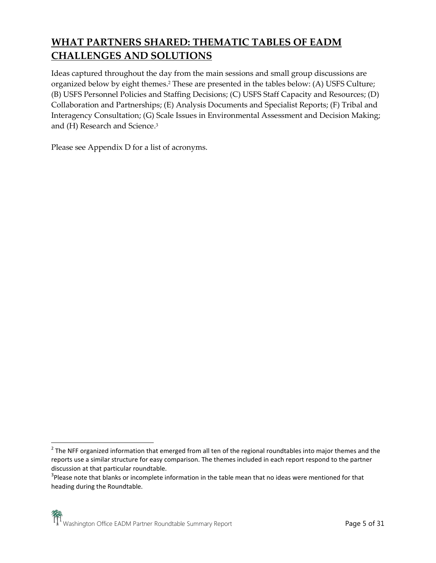# **WHAT PARTNERS SHARED: THEMATIC TABLES OF EADM CHALLENGES AND SOLUTIONS**

Ideas captured throughout the day from the main sessions and small group discussions are organized below by eight themes. <sup>2</sup> These are presented in the tables below: (A) USFS Culture; (B) USFS Personnel Policies and Staffing Decisions; (C) USFS Staff Capacity and Resources; (D) Collaboration and Partnerships; (E) Analysis Documents and Specialist Reports; (F) Tribal and Interagency Consultation; (G) Scale Issues in Environmental Assessment and Decision Making; and (H) Research and Science. 3

Please see Appendix D for a list of acronyms.

 $\overline{\phantom{a}}$ 

 $2$  The NFF organized information that emerged from all ten of the regional roundtables into major themes and the reports use a similar structure for easy comparison. The themes included in each report respond to the partner discussion at that particular roundtable.

 $3$ Please note that blanks or incomplete information in the table mean that no ideas were mentioned for that heading during the Roundtable.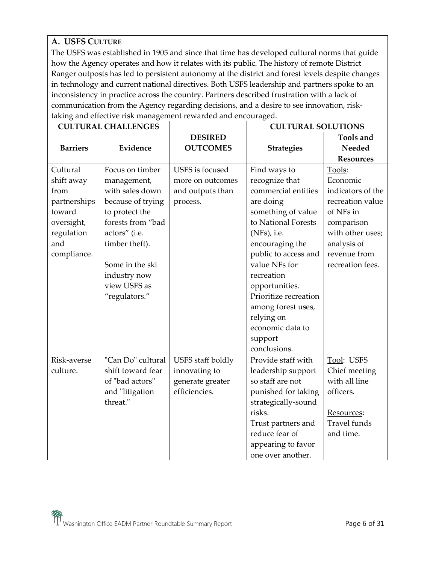## **A. USFS CULTURE**

The USFS was established in 1905 and since that time has developed cultural norms that guide how the Agency operates and how it relates with its public. The history of remote District Ranger outposts has led to persistent autonomy at the district and forest levels despite changes in technology and current national directives. Both USFS leadership and partners spoke to an inconsistency in practice across the country. Partners described frustration with a lack of communication from the Agency regarding decisions, and a desire to see innovation, risktaking and effective risk management rewarded and encouraged.

|                 | <b>CULTURAL CHALLENGES</b> |                          | <b>CULTURAL SOLUTIONS</b> |                     |
|-----------------|----------------------------|--------------------------|---------------------------|---------------------|
|                 |                            | <b>DESIRED</b>           |                           | Tools and           |
| <b>Barriers</b> | Evidence                   | <b>OUTCOMES</b>          | <b>Strategies</b>         | Needed              |
|                 |                            |                          |                           | <b>Resources</b>    |
| Cultural        | Focus on timber            | USFS is focused          | Find ways to              | Tools:              |
| shift away      | management,                | more on outcomes         | recognize that            | Economic            |
| from            | with sales down            | and outputs than         | commercial entities       | indicators of the   |
| partnerships    | because of trying          | process.                 | are doing                 | recreation value    |
| toward          | to protect the             |                          | something of value        | of NFs in           |
| oversight,      | forests from "bad          |                          | to National Forests       | comparison          |
| regulation      | actors" (i.e.              |                          | (NFs), i.e.               | with other uses;    |
| and             | timber theft).             |                          | encouraging the           | analysis of         |
| compliance.     |                            |                          | public to access and      | revenue from        |
|                 | Some in the ski            |                          | value NFs for             | recreation fees.    |
|                 | industry now               |                          | recreation                |                     |
|                 | view USFS as               |                          | opportunities.            |                     |
|                 | "regulators."              |                          | Prioritize recreation     |                     |
|                 |                            |                          | among forest uses,        |                     |
|                 |                            |                          | relying on                |                     |
|                 |                            |                          | economic data to          |                     |
|                 |                            |                          | support                   |                     |
|                 |                            |                          | conclusions.              |                     |
| Risk-averse     | "Can Do" cultural          | <b>USFS</b> staff boldly | Provide staff with        | Tool: USFS          |
| culture.        | shift toward fear          | innovating to            | leadership support        | Chief meeting       |
|                 | of "bad actors"            | generate greater         | so staff are not          | with all line       |
|                 | and "litigation            | efficiencies.            | punished for taking       | officers.           |
|                 | threat."                   |                          | strategically-sound       |                     |
|                 |                            |                          | risks.                    | Resources:          |
|                 |                            |                          | Trust partners and        | <b>Travel</b> funds |
|                 |                            |                          | reduce fear of            | and time.           |
|                 |                            |                          | appearing to favor        |                     |
|                 |                            |                          | one over another.         |                     |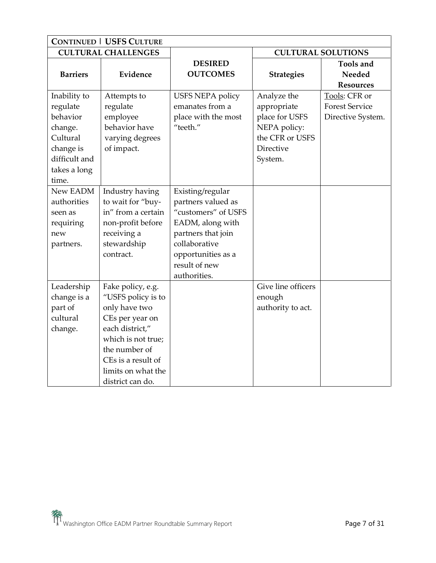| <b>CONTINUED   USFS CULTURE</b>                                                                                    |                                                                                                                                                                                                       |                                                                                                                                                                                 |                                                                                                         |                                                             |
|--------------------------------------------------------------------------------------------------------------------|-------------------------------------------------------------------------------------------------------------------------------------------------------------------------------------------------------|---------------------------------------------------------------------------------------------------------------------------------------------------------------------------------|---------------------------------------------------------------------------------------------------------|-------------------------------------------------------------|
|                                                                                                                    | <b>CULTURAL CHALLENGES</b>                                                                                                                                                                            |                                                                                                                                                                                 | <b>CULTURAL SOLUTIONS</b>                                                                               |                                                             |
| <b>Barriers</b>                                                                                                    | Evidence                                                                                                                                                                                              | <b>DESIRED</b><br><b>OUTCOMES</b>                                                                                                                                               | <b>Strategies</b>                                                                                       | <b>Tools and</b><br>Needed<br><b>Resources</b>              |
| Inability to<br>regulate<br>behavior<br>change.<br>Cultural<br>change is<br>difficult and<br>takes a long<br>time. | Attempts to<br>regulate<br>employee<br>behavior have<br>varying degrees<br>of impact.                                                                                                                 | <b>USFS NEPA policy</b><br>emanates from a<br>place with the most<br>"teeth."                                                                                                   | Analyze the<br>appropriate<br>place for USFS<br>NEPA policy:<br>the CFR or USFS<br>Directive<br>System. | Tools: CFR or<br><b>Forest Service</b><br>Directive System. |
| New EADM<br>authorities<br>seen as<br>requiring<br>new<br>partners.                                                | Industry having<br>to wait for "buy-<br>in" from a certain<br>non-profit before<br>receiving a<br>stewardship<br>contract.                                                                            | Existing/regular<br>partners valued as<br>"customers" of USFS<br>EADM, along with<br>partners that join<br>collaborative<br>opportunities as a<br>result of new<br>authorities. |                                                                                                         |                                                             |
| Leadership<br>change is a<br>part of<br>cultural<br>change.                                                        | Fake policy, e.g.<br>"USFS policy is to<br>only have two<br>CEs per year on<br>each district,"<br>which is not true;<br>the number of<br>CEs is a result of<br>limits on what the<br>district can do. |                                                                                                                                                                                 | Give line officers<br>enough<br>authority to act.                                                       |                                                             |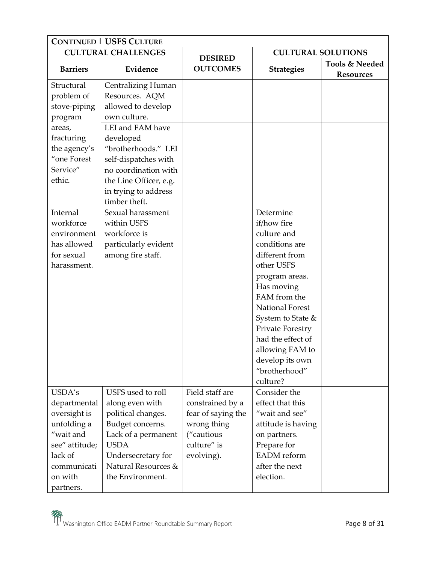| <b>CONTINUED   USFS CULTURE</b> |                           |                                   |                           |                  |
|---------------------------------|---------------------------|-----------------------------------|---------------------------|------------------|
| <b>CULTURAL CHALLENGES</b>      |                           |                                   | <b>CULTURAL SOLUTIONS</b> |                  |
| <b>Barriers</b>                 | Evidence                  | <b>DESIRED</b><br><b>OUTCOMES</b> |                           | Tools & Needed   |
|                                 |                           |                                   | <b>Strategies</b>         | <b>Resources</b> |
| Structural                      | <b>Centralizing Human</b> |                                   |                           |                  |
| problem of                      | Resources. AQM            |                                   |                           |                  |
| stove-piping                    | allowed to develop        |                                   |                           |                  |
| program                         | own culture.              |                                   |                           |                  |
| areas,                          | LEI and FAM have          |                                   |                           |                  |
| fracturing                      | developed                 |                                   |                           |                  |
| the agency's                    | "brotherhoods." LEI       |                                   |                           |                  |
| "one Forest                     | self-dispatches with      |                                   |                           |                  |
| Service"                        | no coordination with      |                                   |                           |                  |
| ethic.                          | the Line Officer, e.g.    |                                   |                           |                  |
|                                 | in trying to address      |                                   |                           |                  |
|                                 | timber theft.             |                                   |                           |                  |
| Internal                        | Sexual harassment         |                                   | Determine                 |                  |
| workforce                       | within USFS               |                                   | if/how fire               |                  |
| environment                     | workforce is              |                                   | culture and               |                  |
| has allowed                     | particularly evident      |                                   | conditions are            |                  |
| for sexual                      | among fire staff.         |                                   | different from            |                  |
| harassment.                     |                           |                                   | other USFS                |                  |
|                                 |                           |                                   | program areas.            |                  |
|                                 |                           |                                   | Has moving                |                  |
|                                 |                           |                                   | FAM from the              |                  |
|                                 |                           |                                   | National Forest           |                  |
|                                 |                           |                                   | System to State &         |                  |
|                                 |                           |                                   | Private Forestry          |                  |
|                                 |                           |                                   | had the effect of         |                  |
|                                 |                           |                                   | allowing FAM to           |                  |
|                                 |                           |                                   | develop its own           |                  |
|                                 |                           |                                   | "brotherhood"             |                  |
|                                 |                           |                                   | culture?                  |                  |
| USDA's                          | USFS used to roll         | Field staff are                   | Consider the              |                  |
| departmental                    | along even with           | constrained by a                  | effect that this          |                  |
| oversight is                    | political changes.        | fear of saying the                | "wait and see"            |                  |
| unfolding a                     | Budget concerns.          | wrong thing                       | attitude is having        |                  |
| "wait and                       | Lack of a permanent       | ("cautious                        | on partners.              |                  |
| see" attitude;                  | <b>USDA</b>               | culture" is                       | Prepare for               |                  |
| lack of                         | Undersecretary for        | evolving).                        | <b>EADM</b> reform        |                  |
| communicati                     | Natural Resources &       |                                   | after the next            |                  |
| on with                         | the Environment.          |                                   | election.                 |                  |
| partners.                       |                           |                                   |                           |                  |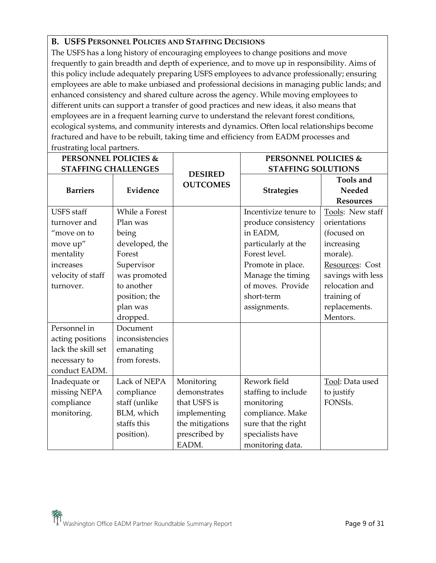## **B. USFS PERSONNEL POLICIES AND STAFFING DECISIONS**

The USFS has a long history of encouraging employees to change positions and move frequently to gain breadth and depth of experience, and to move up in responsibility. Aims of this policy include adequately preparing USFS employees to advance professionally; ensuring employees are able to make unbiased and professional decisions in managing public lands; and enhanced consistency and shared culture across the agency. While moving employees to different units can support a transfer of good practices and new ideas, it also means that employees are in a frequent learning curve to understand the relevant forest conditions, ecological systems, and community interests and dynamics. Often local relationships become fractured and have to be rebuilt, taking time and efficiency from EADM processes and frustrating local partners.

| <b>PERSONNEL POLICIES &amp;</b> |                 |                                   | <b>PERSONNEL POLICIES &amp;</b> |                                         |
|---------------------------------|-----------------|-----------------------------------|---------------------------------|-----------------------------------------|
| <b>STAFFING CHALLENGES</b>      |                 |                                   | <b>STAFFING SOLUTIONS</b>       |                                         |
| <b>Barriers</b>                 | Evidence        | <b>DESIRED</b><br><b>OUTCOMES</b> | <b>Strategies</b>               | Tools and<br>Needed<br><b>Resources</b> |
| <b>USFS</b> staff               | While a Forest  |                                   | Incentivize tenure to           | Tools: New staff                        |
| turnover and                    | Plan was        |                                   | produce consistency             | orientations                            |
| "move on to                     | being           |                                   | in EADM,                        | (focused on                             |
| move up"                        | developed, the  |                                   | particularly at the             | increasing                              |
| mentality                       | Forest          |                                   | Forest level.                   | morale).                                |
| increases                       | Supervisor      |                                   | Promote in place.               | Resources: Cost                         |
| velocity of staff               | was promoted    |                                   | Manage the timing               | savings with less                       |
| turnover.                       | to another      |                                   | of moves. Provide               | relocation and                          |
|                                 | position; the   |                                   | short-term                      | training of                             |
|                                 | plan was        |                                   | assignments.                    | replacements.                           |
|                                 | dropped.        |                                   |                                 | Mentors.                                |
| Personnel in                    | Document        |                                   |                                 |                                         |
| acting positions                | inconsistencies |                                   |                                 |                                         |
| lack the skill set              | emanating       |                                   |                                 |                                         |
| necessary to                    | from forests.   |                                   |                                 |                                         |
| conduct EADM.                   |                 |                                   |                                 |                                         |
| Inadequate or                   | Lack of NEPA    | Monitoring                        | Rework field                    | Tool: Data used                         |
| missing NEPA                    | compliance      | demonstrates                      | staffing to include             | to justify                              |
| compliance                      | staff (unlike   | that USFS is                      | monitoring                      | FONSIs.                                 |
| monitoring.                     | BLM, which      | implementing                      | compliance. Make                |                                         |
|                                 | staffs this     | the mitigations                   | sure that the right             |                                         |
|                                 | position).      | prescribed by                     | specialists have                |                                         |
|                                 |                 | EADM.                             | monitoring data.                |                                         |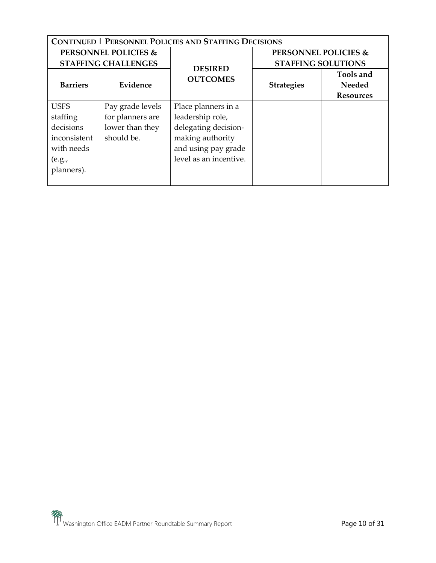| <b>CONTINUED   PERSONNEL POLICIES AND STAFFING DECISIONS</b> |                                 |                                   |                                 |                            |
|--------------------------------------------------------------|---------------------------------|-----------------------------------|---------------------------------|----------------------------|
|                                                              | <b>PERSONNEL POLICIES &amp;</b> |                                   | <b>PERSONNEL POLICIES &amp;</b> |                            |
|                                                              | <b>STAFFING CHALLENGES</b>      |                                   | <b>STAFFING SOLUTIONS</b>       |                            |
| <b>Barriers</b>                                              | Evidence                        | <b>DESIRED</b><br><b>OUTCOMES</b> | <b>Strategies</b>               | <b>Tools and</b><br>Needed |
|                                                              |                                 |                                   |                                 | <b>Resources</b>           |
| <b>USFS</b>                                                  | Pay grade levels                | Place planners in a               |                                 |                            |
| staffing                                                     | for planners are                | leadership role,                  |                                 |                            |
| decisions                                                    | lower than they                 | delegating decision-              |                                 |                            |
| inconsistent                                                 | should be.                      | making authority                  |                                 |                            |
| with needs                                                   |                                 | and using pay grade               |                                 |                            |
| (e.g.,                                                       |                                 | level as an incentive.            |                                 |                            |
| planners).                                                   |                                 |                                   |                                 |                            |
|                                                              |                                 |                                   |                                 |                            |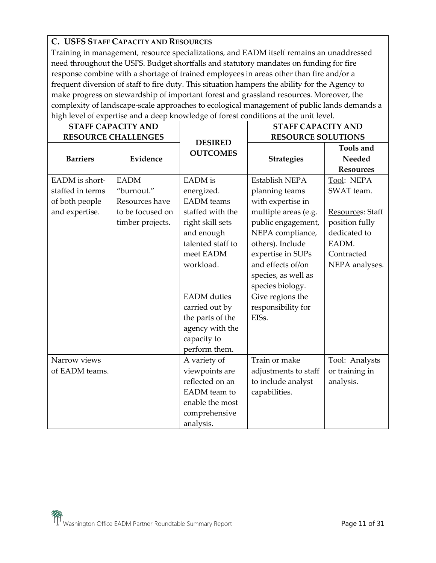## **C. USFS STAFF CAPACITY AND RESOURCES**

Training in management, resource specializations, and EADM itself remains an unaddressed need throughout the USFS. Budget shortfalls and statutory mandates on funding for fire response combine with a shortage of trained employees in areas other than fire and/or a frequent diversion of staff to fire duty. This situation hampers the ability for the Agency to make progress on stewardship of important forest and grassland resources. Moreover, the complexity of landscape-scale approaches to ecological management of public lands demands a high level of expertise and a deep knowledge of forest conditions at the unit level.

| <b>STAFF CAPACITY AND</b>                                              |                                                                                     |                                                                                                                                                                                                                                                                       | <b>STAFF CAPACITY AND</b>                                                                                                                                                                                                                                                           |                                                                                                                         |
|------------------------------------------------------------------------|-------------------------------------------------------------------------------------|-----------------------------------------------------------------------------------------------------------------------------------------------------------------------------------------------------------------------------------------------------------------------|-------------------------------------------------------------------------------------------------------------------------------------------------------------------------------------------------------------------------------------------------------------------------------------|-------------------------------------------------------------------------------------------------------------------------|
|                                                                        | <b>RESOURCE CHALLENGES</b>                                                          | <b>DESIRED</b>                                                                                                                                                                                                                                                        | <b>RESOURCE SOLUTIONS</b>                                                                                                                                                                                                                                                           |                                                                                                                         |
| <b>Barriers</b>                                                        | Evidence                                                                            | <b>OUTCOMES</b>                                                                                                                                                                                                                                                       | <b>Strategies</b>                                                                                                                                                                                                                                                                   | <b>Tools and</b><br>Needed<br><b>Resources</b>                                                                          |
| EADM is short-<br>staffed in terms<br>of both people<br>and expertise. | <b>EADM</b><br>"burnout."<br>Resources have<br>to be focused on<br>timber projects. | <b>EADM</b> is<br>energized.<br><b>EADM</b> teams<br>staffed with the<br>right skill sets<br>and enough<br>talented staff to<br>meet EADM<br>workload.<br><b>EADM</b> duties<br>carried out by<br>the parts of the<br>agency with the<br>capacity to<br>perform them. | Establish NEPA<br>planning teams<br>with expertise in<br>multiple areas (e.g.<br>public engagement,<br>NEPA compliance,<br>others). Include<br>expertise in SUPs<br>and effects of/on<br>species, as well as<br>species biology.<br>Give regions the<br>responsibility for<br>EISs. | Tool: NEPA<br>SWAT team.<br>Resources: Staff<br>position fully<br>dedicated to<br>EADM.<br>Contracted<br>NEPA analyses. |
| Narrow views<br>of EADM teams.                                         |                                                                                     | A variety of<br>viewpoints are<br>reflected on an<br>EADM team to<br>enable the most<br>comprehensive<br>analysis.                                                                                                                                                    | Train or make<br>adjustments to staff<br>to include analyst<br>capabilities.                                                                                                                                                                                                        | Tool: Analysts<br>or training in<br>analysis.                                                                           |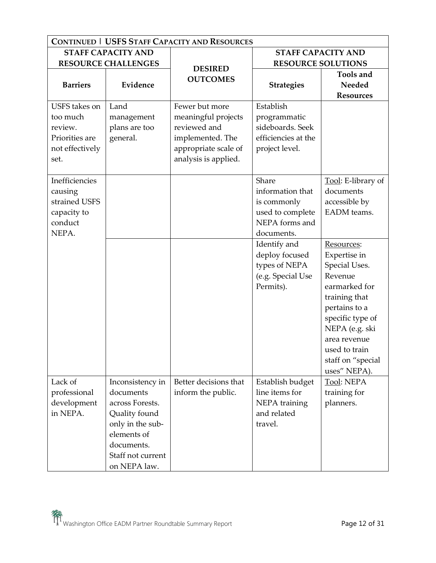| <b>CONTINUED   USFS STAFF CAPACITY AND RESOURCES</b>                              |                                                                                                                                                         |                                                                                                                           |                                                                                              |                                                                                                                                                                                                                       |
|-----------------------------------------------------------------------------------|---------------------------------------------------------------------------------------------------------------------------------------------------------|---------------------------------------------------------------------------------------------------------------------------|----------------------------------------------------------------------------------------------|-----------------------------------------------------------------------------------------------------------------------------------------------------------------------------------------------------------------------|
|                                                                                   | <b>STAFF CAPACITY AND</b>                                                                                                                               |                                                                                                                           | <b>STAFF CAPACITY AND</b>                                                                    |                                                                                                                                                                                                                       |
| <b>RESOURCE CHALLENGES</b>                                                        |                                                                                                                                                         | <b>DESIRED</b>                                                                                                            |                                                                                              | <b>RESOURCE SOLUTIONS</b>                                                                                                                                                                                             |
| <b>Barriers</b>                                                                   | Evidence                                                                                                                                                | <b>OUTCOMES</b>                                                                                                           | <b>Strategies</b>                                                                            | Tools and<br>Needed<br><b>Resources</b>                                                                                                                                                                               |
| USFS takes on<br>too much<br>review.<br>Priorities are<br>not effectively<br>set. | Land<br>management<br>plans are too<br>general.                                                                                                         | Fewer but more<br>meaningful projects<br>reviewed and<br>implemented. The<br>appropriate scale of<br>analysis is applied. | Establish<br>programmatic<br>sideboards. Seek<br>efficiencies at the<br>project level.       |                                                                                                                                                                                                                       |
| Inefficiencies<br>causing<br>strained USFS<br>capacity to<br>conduct<br>NEPA.     |                                                                                                                                                         |                                                                                                                           | Share<br>information that<br>is commonly<br>used to complete<br>NEPA forms and<br>documents. | Tool: E-library of<br>documents<br>accessible by<br>EADM teams.                                                                                                                                                       |
|                                                                                   |                                                                                                                                                         |                                                                                                                           | Identify and<br>deploy focused<br>types of NEPA<br>(e.g. Special Use<br>Permits).            | Resources:<br>Expertise in<br>Special Uses.<br>Revenue<br>earmarked for<br>training that<br>pertains to a<br>specific type of<br>NEPA (e.g. ski<br>area revenue<br>used to train<br>staff on "special<br>uses" NEPA). |
| Lack of<br>professional<br>development<br>in NEPA.                                | Inconsistency in<br>documents<br>across Forests.<br>Quality found<br>only in the sub-<br>elements of<br>documents.<br>Staff not current<br>on NEPA law. | Better decisions that<br>inform the public.                                                                               | Establish budget<br>line items for<br>NEPA training<br>and related<br>travel.                | <b>Tool: NEPA</b><br>training for<br>planners.                                                                                                                                                                        |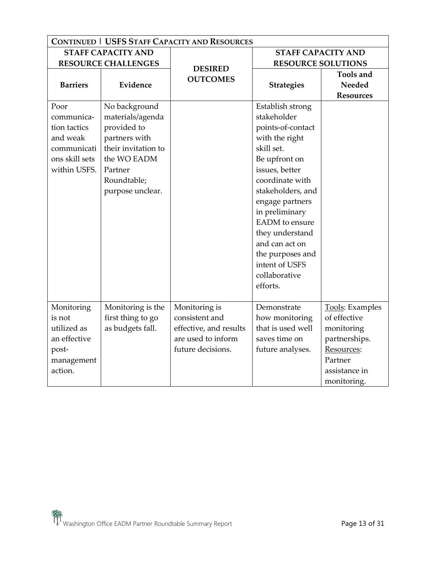| <b>CONTINUED   USFS STAFF CAPACITY AND RESOURCES</b> |                            |                                   |                           |                  |
|------------------------------------------------------|----------------------------|-----------------------------------|---------------------------|------------------|
|                                                      | <b>STAFF CAPACITY AND</b>  |                                   | <b>STAFF CAPACITY AND</b> |                  |
|                                                      | <b>RESOURCE CHALLENGES</b> |                                   | <b>RESOURCE SOLUTIONS</b> |                  |
|                                                      |                            | <b>DESIRED</b><br><b>OUTCOMES</b> |                           | Tools and        |
| <b>Barriers</b>                                      | Evidence                   |                                   | <b>Strategies</b>         | <b>Needed</b>    |
|                                                      |                            |                                   |                           | <b>Resources</b> |
| Poor                                                 | No background              |                                   | Establish strong          |                  |
| communica-                                           | materials/agenda           |                                   | stakeholder               |                  |
| tion tactics                                         | provided to                |                                   | points-of-contact         |                  |
| and weak                                             | partners with              |                                   | with the right            |                  |
| communicati                                          | their invitation to        |                                   | skill set.                |                  |
| ons skill sets                                       | the WO EADM                |                                   | Be upfront on             |                  |
| within USFS.                                         | Partner                    |                                   | issues, better            |                  |
|                                                      | Roundtable;                |                                   | coordinate with           |                  |
|                                                      | purpose unclear.           |                                   | stakeholders, and         |                  |
|                                                      |                            |                                   | engage partners           |                  |
|                                                      |                            |                                   | in preliminary            |                  |
|                                                      |                            |                                   | <b>EADM</b> to ensure     |                  |
|                                                      |                            |                                   | they understand           |                  |
|                                                      |                            |                                   | and can act on            |                  |
|                                                      |                            |                                   | the purposes and          |                  |
|                                                      |                            |                                   | intent of USFS            |                  |
|                                                      |                            |                                   | collaborative             |                  |
|                                                      |                            |                                   | efforts.                  |                  |
|                                                      |                            |                                   |                           |                  |
| Monitoring                                           | Monitoring is the          | Monitoring is                     | Demonstrate               | Tools: Examples  |
| is not                                               | first thing to go          | consistent and                    | how monitoring            | of effective     |
| utilized as                                          | as budgets fall.           | effective, and results            | that is used well         | monitoring       |
| an effective                                         |                            | are used to inform                | saves time on             | partnerships.    |
| post-                                                |                            | future decisions.                 | future analyses.          | Resources:       |
| management                                           |                            |                                   |                           | Partner          |
| action.                                              |                            |                                   |                           | assistance in    |
|                                                      |                            |                                   |                           | monitoring.      |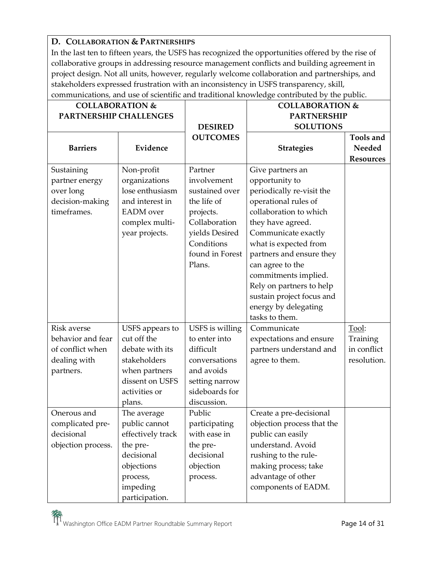## **D. COLLABORATION & PARTNERSHIPS**

In the last ten to fifteen years, the USFS has recognized the opportunities offered by the rise of collaborative groups in addressing resource management conflicts and building agreement in project design. Not all units, however, regularly welcome collaboration and partnerships, and stakeholders expressed frustration with an inconsistency in USFS transparency, skill, communications, and use of scientific and traditional knowledge contributed by the public.

| <b>COLLABORATION &amp;</b>   |                             |                        | <b>COLLABORATION &amp;</b>         |                  |
|------------------------------|-----------------------------|------------------------|------------------------------------|------------------|
| PARTNERSHIP CHALLENGES       |                             |                        | <b>PARTNERSHIP</b>                 |                  |
|                              |                             | <b>DESIRED</b>         | <b>SOLUTIONS</b>                   |                  |
|                              |                             | <b>OUTCOMES</b>        |                                    | <b>Tools and</b> |
| <b>Barriers</b>              | Evidence                    |                        | <b>Strategies</b>                  | Needed           |
|                              |                             |                        |                                    | <b>Resources</b> |
| Sustaining<br>partner energy | Non-profit<br>organizations | Partner<br>involvement | Give partners an<br>opportunity to |                  |
| over long                    | lose enthusiasm             | sustained over         | periodically re-visit the          |                  |
| decision-making              | and interest in             | the life of            | operational rules of               |                  |
| timeframes.                  | <b>EADM</b> over            | projects.              | collaboration to which             |                  |
|                              | complex multi-              | Collaboration          | they have agreed.                  |                  |
|                              | year projects.              | yields Desired         | Communicate exactly                |                  |
|                              |                             | Conditions             | what is expected from              |                  |
|                              |                             | found in Forest        | partners and ensure they           |                  |
|                              |                             | Plans.                 | can agree to the                   |                  |
|                              |                             |                        | commitments implied.               |                  |
|                              |                             |                        | Rely on partners to help           |                  |
|                              |                             |                        | sustain project focus and          |                  |
|                              |                             |                        | energy by delegating               |                  |
|                              |                             |                        | tasks to them.                     |                  |
| <b>Risk averse</b>           | USFS appears to             | USFS is willing        | Communicate                        | Tool:            |
| behavior and fear            | cut off the                 | to enter into          | expectations and ensure            | Training         |
| of conflict when             | debate with its             | difficult              | partners understand and            | in conflict      |
| dealing with                 | stakeholders                | conversations          | agree to them.                     | resolution.      |
| partners.                    | when partners               | and avoids             |                                    |                  |
|                              | dissent on USFS             | setting narrow         |                                    |                  |
|                              | activities or               | sideboards for         |                                    |                  |
|                              | plans.                      | discussion.            |                                    |                  |
| Onerous and                  | The average                 | Public                 | Create a pre-decisional            |                  |
| complicated pre-             | public cannot               | participating          | objection process that the         |                  |
| decisional                   | effectively track           | with ease in           | public can easily                  |                  |
| objection process.           | the pre-                    | the pre-               | understand. Avoid                  |                  |
|                              | decisional                  | decisional             | rushing to the rule-               |                  |
|                              | objections                  | objection              | making process; take               |                  |
|                              | process,                    | process.               | advantage of other                 |                  |
|                              | impeding                    |                        | components of EADM.                |                  |
|                              | participation.              |                        |                                    |                  |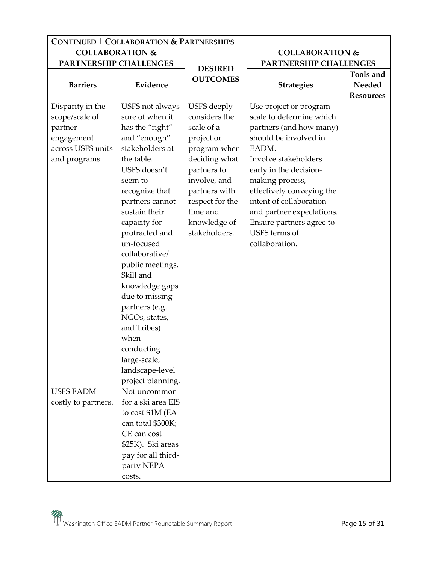| <b>CONTINUED   COLLABORATION &amp; PARTNERSHIPS</b>                                               |                                                                                                                                                                                                                                                                                                                                                  |                                                                                                                                                                                                           |                                                                                                                                                                                                                                                                                                                                          |                                         |
|---------------------------------------------------------------------------------------------------|--------------------------------------------------------------------------------------------------------------------------------------------------------------------------------------------------------------------------------------------------------------------------------------------------------------------------------------------------|-----------------------------------------------------------------------------------------------------------------------------------------------------------------------------------------------------------|------------------------------------------------------------------------------------------------------------------------------------------------------------------------------------------------------------------------------------------------------------------------------------------------------------------------------------------|-----------------------------------------|
| <b>COLLABORATION &amp;</b>                                                                        |                                                                                                                                                                                                                                                                                                                                                  |                                                                                                                                                                                                           | <b>COLLABORATION &amp;</b>                                                                                                                                                                                                                                                                                                               |                                         |
| PARTNERSHIP CHALLENGES                                                                            |                                                                                                                                                                                                                                                                                                                                                  |                                                                                                                                                                                                           | PARTNERSHIP CHALLENGES                                                                                                                                                                                                                                                                                                                   |                                         |
| <b>Barriers</b>                                                                                   | Evidence                                                                                                                                                                                                                                                                                                                                         | <b>DESIRED</b><br><b>OUTCOMES</b>                                                                                                                                                                         | <b>Strategies</b>                                                                                                                                                                                                                                                                                                                        | Tools and<br>Needed<br><b>Resources</b> |
| Disparity in the<br>scope/scale of<br>partner<br>engagement<br>across USFS units<br>and programs. | USFS not always<br>sure of when it<br>has the "right"<br>and "enough"<br>stakeholders at<br>the table.<br>USFS doesn't<br>seem to<br>recognize that<br>partners cannot<br>sustain their<br>capacity for<br>protracted and<br>un-focused<br>collaborative/<br>public meetings.<br>Skill and<br>knowledge gaps<br>due to missing<br>partners (e.g. | USFS deeply<br>considers the<br>scale of a<br>project or<br>program when<br>deciding what<br>partners to<br>involve, and<br>partners with<br>respect for the<br>time and<br>knowledge of<br>stakeholders. | Use project or program<br>scale to determine which<br>partners (and how many)<br>should be involved in<br>EADM.<br>Involve stakeholders<br>early in the decision-<br>making process,<br>effectively conveying the<br>intent of collaboration<br>and partner expectations.<br>Ensure partners agree to<br>USFS terms of<br>collaboration. |                                         |
| <b>USFS EADM</b>                                                                                  | NGOs, states,<br>and Tribes)<br>when<br>conducting<br>large-scale,<br>landscape-level<br>project planning.<br>Not uncommon                                                                                                                                                                                                                       |                                                                                                                                                                                                           |                                                                                                                                                                                                                                                                                                                                          |                                         |
| costly to partners.                                                                               | for a ski area EIS<br>to cost \$1M (EA<br>can total \$300K;<br>CE can cost<br>\$25K). Ski areas<br>pay for all third-<br>party NEPA<br>costs.                                                                                                                                                                                                    |                                                                                                                                                                                                           |                                                                                                                                                                                                                                                                                                                                          |                                         |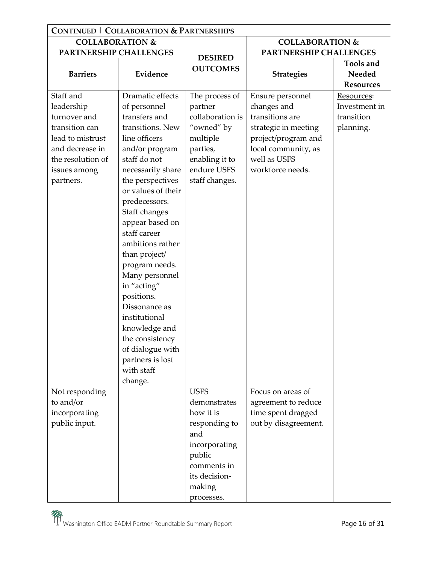| <b>CONTINUED   COLLABORATION &amp; PARTNERSHIPS</b> |                             |                  |                            |                  |  |
|-----------------------------------------------------|-----------------------------|------------------|----------------------------|------------------|--|
| <b>COLLABORATION &amp;</b>                          |                             |                  | <b>COLLABORATION &amp;</b> |                  |  |
| PARTNERSHIP CHALLENGES                              |                             | <b>DESIRED</b>   | PARTNERSHIP CHALLENGES     |                  |  |
|                                                     |                             | <b>OUTCOMES</b>  |                            | Tools and        |  |
| <b>Barriers</b>                                     | Evidence                    |                  | <b>Strategies</b>          | Needed           |  |
|                                                     |                             |                  |                            | <b>Resources</b> |  |
| Staff and                                           | Dramatic effects            | The process of   | Ensure personnel           | Resources:       |  |
| leadership                                          | of personnel                | partner          | changes and                | Investment in    |  |
| turnover and                                        | transfers and               | collaboration is | transitions are            | transition       |  |
| transition can                                      | transitions. New            | "owned" by       | strategic in meeting       | planning.        |  |
| lead to mistrust                                    | line officers               | multiple         | project/program and        |                  |  |
| and decrease in                                     | and/or program              | parties,         | local community, as        |                  |  |
| the resolution of                                   | staff do not                | enabling it to   | well as USFS               |                  |  |
| issues among                                        | necessarily share           | endure USFS      | workforce needs.           |                  |  |
| partners.                                           | the perspectives            | staff changes.   |                            |                  |  |
|                                                     | or values of their          |                  |                            |                  |  |
|                                                     | predecessors.               |                  |                            |                  |  |
|                                                     | Staff changes               |                  |                            |                  |  |
|                                                     | appear based on             |                  |                            |                  |  |
|                                                     | staff career                |                  |                            |                  |  |
|                                                     | ambitions rather            |                  |                            |                  |  |
|                                                     | than project/               |                  |                            |                  |  |
|                                                     | program needs.              |                  |                            |                  |  |
|                                                     | Many personnel              |                  |                            |                  |  |
|                                                     | in "acting"                 |                  |                            |                  |  |
|                                                     | positions.<br>Dissonance as |                  |                            |                  |  |
|                                                     | institutional               |                  |                            |                  |  |
|                                                     | knowledge and               |                  |                            |                  |  |
|                                                     | the consistency             |                  |                            |                  |  |
|                                                     | of dialogue with            |                  |                            |                  |  |
|                                                     | partners is lost            |                  |                            |                  |  |
|                                                     | with staff                  |                  |                            |                  |  |
|                                                     | change.                     |                  |                            |                  |  |
| Not responding                                      |                             | <b>USFS</b>      | Focus on areas of          |                  |  |
| to and/or                                           |                             | demonstrates     | agreement to reduce        |                  |  |
| incorporating                                       |                             | how it is        | time spent dragged         |                  |  |
| public input.                                       |                             | responding to    | out by disagreement.       |                  |  |
|                                                     |                             | and              |                            |                  |  |
|                                                     |                             | incorporating    |                            |                  |  |
|                                                     |                             | public           |                            |                  |  |
|                                                     |                             | comments in      |                            |                  |  |
|                                                     |                             | its decision-    |                            |                  |  |
|                                                     |                             | making           |                            |                  |  |
|                                                     |                             | processes.       |                            |                  |  |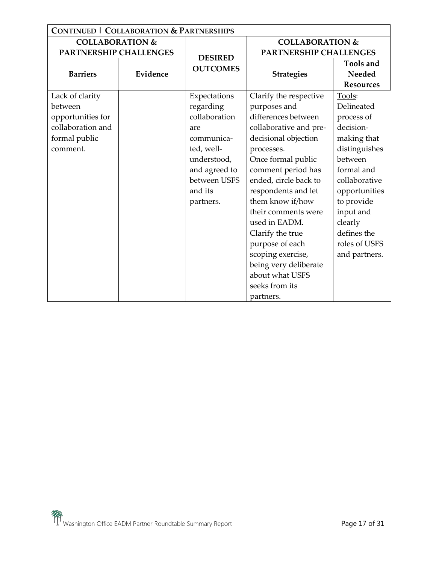| <b>CONTINUED   COLLABORATION &amp; PARTNERSHIPS</b> |          |                                   |                        |                  |  |
|-----------------------------------------------------|----------|-----------------------------------|------------------------|------------------|--|
| <b>COLLABORATION &amp;</b>                          |          | <b>COLLABORATION &amp;</b>        |                        |                  |  |
| PARTNERSHIP CHALLENGES                              |          |                                   | PARTNERSHIP CHALLENGES |                  |  |
|                                                     |          | <b>DESIRED</b><br><b>OUTCOMES</b> |                        | <b>Tools and</b> |  |
| <b>Barriers</b>                                     | Evidence |                                   | <b>Strategies</b>      | Needed           |  |
|                                                     |          |                                   |                        | <b>Resources</b> |  |
| Lack of clarity                                     |          | Expectations                      | Clarify the respective | Tools:           |  |
| between                                             |          | regarding                         | purposes and           | Delineated       |  |
| opportunities for                                   |          | collaboration                     | differences between    | process of       |  |
| collaboration and                                   |          | are                               | collaborative and pre- | decision-        |  |
| formal public                                       |          | communica-                        | decisional objection   | making that      |  |
| comment.                                            |          | ted, well-                        | processes.             | distinguishes    |  |
|                                                     |          | understood,                       | Once formal public     | between          |  |
|                                                     |          | and agreed to                     | comment period has     | formal and       |  |
|                                                     |          | between USFS                      | ended, circle back to  | collaborative    |  |
|                                                     |          | and its                           | respondents and let    | opportunities    |  |
|                                                     |          | partners.                         | them know if/how       | to provide       |  |
|                                                     |          |                                   | their comments were    | input and        |  |
|                                                     |          |                                   | used in EADM.          | clearly          |  |
|                                                     |          |                                   | Clarify the true       | defines the      |  |
|                                                     |          |                                   | purpose of each        | roles of USFS    |  |
|                                                     |          |                                   | scoping exercise,      | and partners.    |  |
|                                                     |          |                                   | being very deliberate  |                  |  |
|                                                     |          |                                   | about what USFS        |                  |  |
|                                                     |          |                                   | seeks from its         |                  |  |
|                                                     |          |                                   | partners.              |                  |  |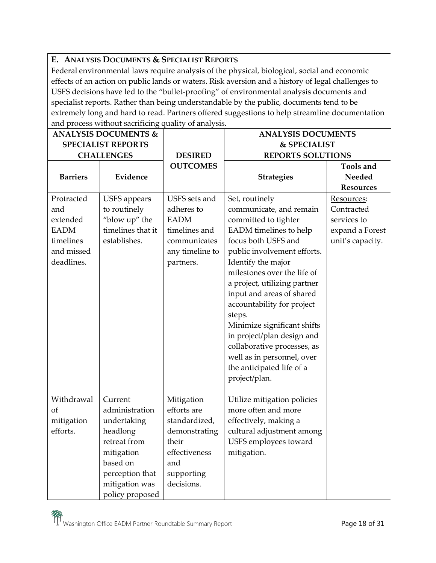#### **E. ANALYSIS DOCUMENTS & SPECIALIST REPORTS**

Federal environmental laws require analysis of the physical, biological, social and economic effects of an action on public lands or waters. Risk aversion and a history of legal challenges to USFS decisions have led to the "bullet-proofing" of environmental analysis documents and specialist reports. Rather than being understandable by the public, documents tend to be extremely long and hard to read. Partners offered suggestions to help streamline documentation and process without sacrificing quality of analysis.

| <b>ANALYSIS DOCUMENTS &amp;</b> |                     |                 | <b>ANALYSIS DOCUMENTS</b>    |                  |
|---------------------------------|---------------------|-----------------|------------------------------|------------------|
| <b>SPECIALIST REPORTS</b>       |                     |                 | & SPECIALIST                 |                  |
|                                 | <b>CHALLENGES</b>   | <b>DESIRED</b>  | <b>REPORTS SOLUTIONS</b>     |                  |
|                                 |                     | <b>OUTCOMES</b> |                              | <b>Tools and</b> |
| <b>Barriers</b>                 | Evidence            |                 | <b>Strategies</b>            | <b>Needed</b>    |
|                                 |                     |                 |                              | <b>Resources</b> |
| Protracted                      | <b>USFS</b> appears | USFS sets and   | Set, routinely               | Resources:       |
| and                             | to routinely        | adheres to      | communicate, and remain      | Contracted       |
| extended                        | "blow up" the       | <b>EADM</b>     | committed to tighter         | services to      |
| <b>EADM</b>                     | timelines that it   | timelines and   | EADM timelines to help       | expand a Forest  |
| timelines                       | establishes.        | communicates    | focus both USFS and          | unit's capacity. |
| and missed                      |                     | any timeline to | public involvement efforts.  |                  |
| deadlines.                      |                     | partners.       | Identify the major           |                  |
|                                 |                     |                 | milestones over the life of  |                  |
|                                 |                     |                 | a project, utilizing partner |                  |
|                                 |                     |                 | input and areas of shared    |                  |
|                                 |                     |                 | accountability for project   |                  |
|                                 |                     |                 | steps.                       |                  |
|                                 |                     |                 | Minimize significant shifts  |                  |
|                                 |                     |                 | in project/plan design and   |                  |
|                                 |                     |                 | collaborative processes, as  |                  |
|                                 |                     |                 | well as in personnel, over   |                  |
|                                 |                     |                 | the anticipated life of a    |                  |
|                                 |                     |                 | project/plan.                |                  |
|                                 |                     |                 |                              |                  |
| Withdrawal                      | Current             | Mitigation      | Utilize mitigation policies  |                  |
| of                              | administration      | efforts are     | more often and more          |                  |
| mitigation                      | undertaking         | standardized,   | effectively, making a        |                  |
| efforts.                        | headlong            | demonstrating   | cultural adjustment among    |                  |
|                                 | retreat from        | their           | USFS employees toward        |                  |
|                                 | mitigation          | effectiveness   | mitigation.                  |                  |
|                                 | based on            | and             |                              |                  |
|                                 | perception that     | supporting      |                              |                  |
|                                 | mitigation was      | decisions.      |                              |                  |
|                                 | policy proposed     |                 |                              |                  |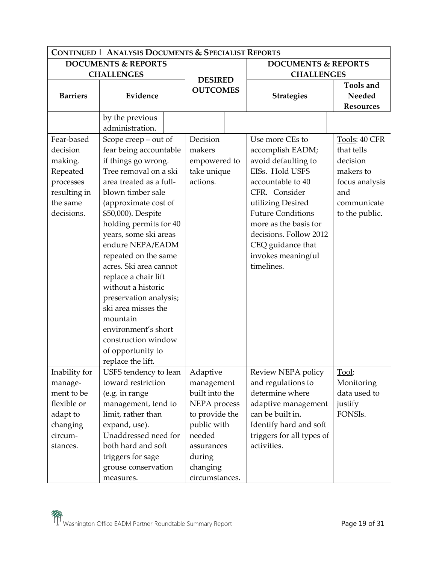| <b>CONTINUED   ANALYSIS DOCUMENTS &amp; SPECIALIST REPORTS</b> |                                                                       |  |                                    |  |                                                            |                                         |
|----------------------------------------------------------------|-----------------------------------------------------------------------|--|------------------------------------|--|------------------------------------------------------------|-----------------------------------------|
| <b>DOCUMENTS &amp; REPORTS</b>                                 |                                                                       |  |                                    |  | <b>DOCUMENTS &amp; REPORTS</b>                             |                                         |
|                                                                | <b>CHALLENGES</b>                                                     |  | <b>DESIRED</b><br><b>OUTCOMES</b>  |  | <b>CHALLENGES</b>                                          |                                         |
| <b>Barriers</b>                                                | Evidence                                                              |  |                                    |  | <b>Strategies</b>                                          | Tools and<br>Needed<br><b>Resources</b> |
|                                                                |                                                                       |  |                                    |  |                                                            |                                         |
|                                                                | by the previous<br>administration.                                    |  |                                    |  |                                                            |                                         |
| Fear-based<br>decision<br>making.                              | Scope creep - out of<br>fear being accountable<br>if things go wrong. |  | Decision<br>makers<br>empowered to |  | Use more CEs to<br>accomplish EADM;<br>avoid defaulting to | Tools: 40 CFR<br>that tells<br>decision |
| Repeated                                                       | Tree removal on a ski                                                 |  | take unique                        |  | EISs. Hold USFS                                            | makers to                               |
| processes                                                      | area treated as a full-                                               |  | actions.                           |  | accountable to 40                                          | focus analysis                          |
| resulting in                                                   | blown timber sale                                                     |  |                                    |  | CFR. Consider                                              | and                                     |
| the same                                                       | (approximate cost of                                                  |  |                                    |  | utilizing Desired                                          | communicate                             |
| decisions.                                                     | \$50,000). Despite                                                    |  |                                    |  | <b>Future Conditions</b>                                   | to the public.                          |
|                                                                | holding permits for 40                                                |  |                                    |  | more as the basis for                                      |                                         |
|                                                                | years, some ski areas                                                 |  |                                    |  | decisions. Follow 2012                                     |                                         |
|                                                                | endure NEPA/EADM                                                      |  |                                    |  | CEQ guidance that                                          |                                         |
|                                                                | repeated on the same                                                  |  |                                    |  | invokes meaningful                                         |                                         |
|                                                                | acres. Ski area cannot                                                |  |                                    |  | timelines.                                                 |                                         |
|                                                                | replace a chair lift                                                  |  |                                    |  |                                                            |                                         |
|                                                                | without a historic                                                    |  |                                    |  |                                                            |                                         |
|                                                                | preservation analysis;                                                |  |                                    |  |                                                            |                                         |
|                                                                | ski area misses the                                                   |  |                                    |  |                                                            |                                         |
|                                                                | mountain                                                              |  |                                    |  |                                                            |                                         |
|                                                                | environment's short                                                   |  |                                    |  |                                                            |                                         |
|                                                                | construction window                                                   |  |                                    |  |                                                            |                                         |
|                                                                | of opportunity to                                                     |  |                                    |  |                                                            |                                         |
|                                                                | replace the lift.                                                     |  |                                    |  |                                                            |                                         |
| Inability for                                                  | USFS tendency to lean                                                 |  | Adaptive                           |  | Review NEPA policy                                         | Tool:                                   |
| manage-                                                        | toward restriction                                                    |  | management                         |  | and regulations to                                         | Monitoring                              |
| ment to be                                                     | (e.g. in range                                                        |  | built into the                     |  | determine where                                            | data used to                            |
| flexible or                                                    | management, tend to                                                   |  | NEPA process                       |  | adaptive management                                        | justify                                 |
| adapt to                                                       | limit, rather than                                                    |  | to provide the                     |  | can be built in.                                           | FONSIs.                                 |
| changing                                                       | expand, use).                                                         |  | public with                        |  | Identify hard and soft                                     |                                         |
| circum-                                                        | Unaddressed need for                                                  |  | needed                             |  | triggers for all types of                                  |                                         |
| stances.                                                       | both hard and soft                                                    |  | assurances                         |  | activities.                                                |                                         |
|                                                                | triggers for sage                                                     |  | during                             |  |                                                            |                                         |
|                                                                | grouse conservation                                                   |  | changing                           |  |                                                            |                                         |
|                                                                | measures.                                                             |  | circumstances.                     |  |                                                            |                                         |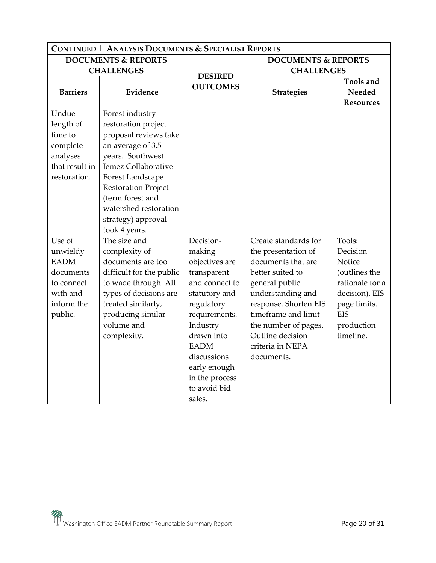|                                                                                                   | <b>CONTINUED   ANALYSIS DOCUMENTS &amp; SPECIALIST REPORTS</b>                                                                                                                                                                                                        |                                                                                                                                                                                                                                            |                                                                                                                                                                                                                                                            |                                                                                                                                             |  |
|---------------------------------------------------------------------------------------------------|-----------------------------------------------------------------------------------------------------------------------------------------------------------------------------------------------------------------------------------------------------------------------|--------------------------------------------------------------------------------------------------------------------------------------------------------------------------------------------------------------------------------------------|------------------------------------------------------------------------------------------------------------------------------------------------------------------------------------------------------------------------------------------------------------|---------------------------------------------------------------------------------------------------------------------------------------------|--|
| <b>DOCUMENTS &amp; REPORTS</b>                                                                    |                                                                                                                                                                                                                                                                       | <b>DOCUMENTS &amp; REPORTS</b>                                                                                                                                                                                                             |                                                                                                                                                                                                                                                            |                                                                                                                                             |  |
|                                                                                                   | <b>CHALLENGES</b>                                                                                                                                                                                                                                                     |                                                                                                                                                                                                                                            | <b>CHALLENGES</b>                                                                                                                                                                                                                                          |                                                                                                                                             |  |
| <b>Barriers</b>                                                                                   | Evidence                                                                                                                                                                                                                                                              | <b>DESIRED</b><br><b>OUTCOMES</b>                                                                                                                                                                                                          | <b>Strategies</b>                                                                                                                                                                                                                                          | <b>Tools and</b><br>Needed<br><b>Resources</b>                                                                                              |  |
| Undue<br>length of<br>time to<br>complete<br>analyses<br>that result in<br>restoration.           | Forest industry<br>restoration project<br>proposal reviews take<br>an average of 3.5<br>years. Southwest<br>Jemez Collaborative<br>Forest Landscape<br><b>Restoration Project</b><br>(term forest and<br>watershed restoration<br>strategy) approval<br>took 4 years. |                                                                                                                                                                                                                                            |                                                                                                                                                                                                                                                            |                                                                                                                                             |  |
| Use of<br>unwieldy<br><b>EADM</b><br>documents<br>to connect<br>with and<br>inform the<br>public. | The size and<br>complexity of<br>documents are too<br>difficult for the public<br>to wade through. All<br>types of decisions are<br>treated similarly,<br>producing similar<br>volume and<br>complexity.                                                              | Decision-<br>making<br>objectives are<br>transparent<br>and connect to<br>statutory and<br>regulatory<br>requirements.<br>Industry<br>drawn into<br><b>EADM</b><br>discussions<br>early enough<br>in the process<br>to avoid bid<br>sales. | Create standards for<br>the presentation of<br>documents that are<br>better suited to<br>general public<br>understanding and<br>response. Shorten EIS<br>timeframe and limit<br>the number of pages.<br>Outline decision<br>criteria in NEPA<br>documents. | Tools:<br>Decision<br>Notice<br>(outlines the<br>rationale for a<br>decision). EIS<br>page limits.<br><b>EIS</b><br>production<br>timeline. |  |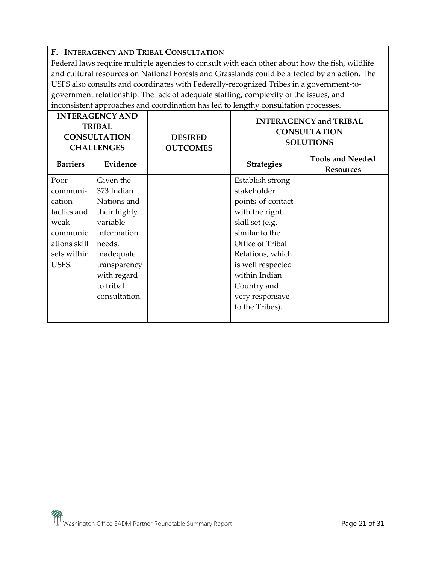#### **F. INTERAGENCY AND TRIBAL CONSULTATION**

Federal laws require multiple agencies to consult with each other about how the fish, wildlife and cultural resources on National Forests and Grasslands could be affected by an action. The USFS also consults and coordinates with Federally-recognized Tribes in a government-togovernment relationship. The lack of adequate staffing, complexity of the issues, and inconsistent approaches and coordination has led to lengthy consultation processes.

| <b>INTERAGENCY AND</b><br><b>TRIBAL</b><br><b>CONSULTATION</b><br><b>CHALLENGES</b> |               | <b>DESIRED</b><br><b>OUTCOMES</b> | <b>INTERAGENCY and TRIBAL</b><br><b>CONSULTATION</b><br><b>SOLUTIONS</b> |                                             |
|-------------------------------------------------------------------------------------|---------------|-----------------------------------|--------------------------------------------------------------------------|---------------------------------------------|
| <b>Barriers</b>                                                                     | Evidence      |                                   | <b>Strategies</b>                                                        | <b>Tools and Needed</b><br><b>Resources</b> |
| Poor                                                                                | Given the     |                                   | Establish strong                                                         |                                             |
| communi-                                                                            | 373 Indian    |                                   | stakeholder                                                              |                                             |
| cation                                                                              | Nations and   |                                   | points-of-contact                                                        |                                             |
| tactics and                                                                         | their highly  |                                   | with the right                                                           |                                             |
| weak                                                                                | variable      |                                   | skill set (e.g.                                                          |                                             |
| communic                                                                            | information   |                                   | similar to the                                                           |                                             |
| ations skill                                                                        | needs,        |                                   | Office of Tribal                                                         |                                             |
| sets within                                                                         | inadequate    |                                   | Relations, which                                                         |                                             |
| USFS.                                                                               | transparency  |                                   | is well respected                                                        |                                             |
|                                                                                     | with regard   |                                   | within Indian                                                            |                                             |
|                                                                                     | to tribal     |                                   | Country and                                                              |                                             |
|                                                                                     | consultation. |                                   | very responsive                                                          |                                             |
|                                                                                     |               |                                   | to the Tribes).                                                          |                                             |
|                                                                                     |               |                                   |                                                                          |                                             |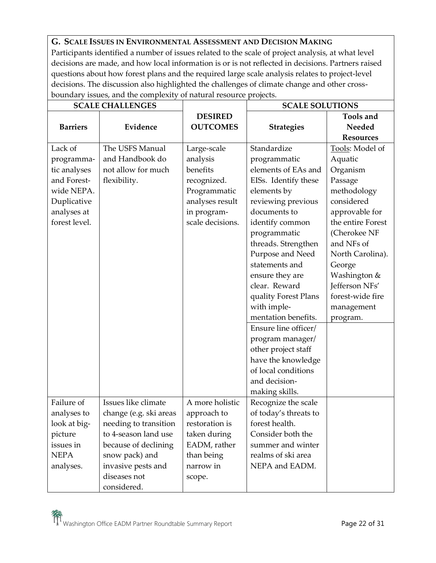## **G. SCALE ISSUES IN ENVIRONMENTAL ASSESSMENT AND DECISION MAKING**

Participants identified a number of issues related to the scale of project analysis, at what level decisions are made, and how local information is or is not reflected in decisions. Partners raised questions about how forest plans and the required large scale analysis relates to project-level decisions. The discussion also highlighted the challenges of climate change and other crossboundary issues, and the complexity of natural resource projects.

| <b>SCALE CHALLENGES</b> |                        |                  | <b>SCALE SOLUTIONS</b> |                   |
|-------------------------|------------------------|------------------|------------------------|-------------------|
|                         |                        | <b>DESIRED</b>   |                        | <b>Tools and</b>  |
| <b>Barriers</b>         | Evidence               | <b>OUTCOMES</b>  | <b>Strategies</b>      | Needed            |
|                         |                        |                  |                        | <b>Resources</b>  |
| Lack of                 | The USFS Manual        | Large-scale      | Standardize            | Tools: Model of   |
| programma-              | and Handbook do        | analysis         | programmatic           | Aquatic           |
| tic analyses            | not allow for much     | benefits         | elements of EAs and    | Organism          |
| and Forest-             | flexibility.           | recognized.      | EISs. Identify these   | Passage           |
| wide NEPA.              |                        | Programmatic     | elements by            | methodology       |
| Duplicative             |                        | analyses result  | reviewing previous     | considered        |
| analyses at             |                        | in program-      | documents to           | approvable for    |
| forest level.           |                        | scale decisions. | identify common        | the entire Forest |
|                         |                        |                  | programmatic           | (Cherokee NF      |
|                         |                        |                  | threads. Strengthen    | and NFs of        |
|                         |                        |                  | Purpose and Need       | North Carolina).  |
|                         |                        |                  | statements and         | George            |
|                         |                        |                  | ensure they are        | Washington &      |
|                         |                        |                  | clear. Reward          | Jefferson NFs'    |
|                         |                        |                  | quality Forest Plans   | forest-wide fire  |
|                         |                        |                  | with imple-            | management        |
|                         |                        |                  | mentation benefits.    | program.          |
|                         |                        |                  | Ensure line officer/   |                   |
|                         |                        |                  | program manager/       |                   |
|                         |                        |                  | other project staff    |                   |
|                         |                        |                  | have the knowledge     |                   |
|                         |                        |                  | of local conditions    |                   |
|                         |                        |                  | and decision-          |                   |
|                         |                        |                  | making skills.         |                   |
| Failure of              | Issues like climate    | A more holistic  | Recognize the scale    |                   |
| analyses to             | change (e.g. ski areas | approach to      | of today's threats to  |                   |
| look at big-            | needing to transition  | restoration is   | forest health.         |                   |
| picture                 | to 4-season land use   | taken during     | Consider both the      |                   |
| issues in               | because of declining   | EADM, rather     | summer and winter      |                   |
| <b>NEPA</b>             | snow pack) and         | than being       | realms of ski area     |                   |
| analyses.               | invasive pests and     | narrow in        | NEPA and EADM.         |                   |
|                         | diseases not           | scope.           |                        |                   |
|                         | considered.            |                  |                        |                   |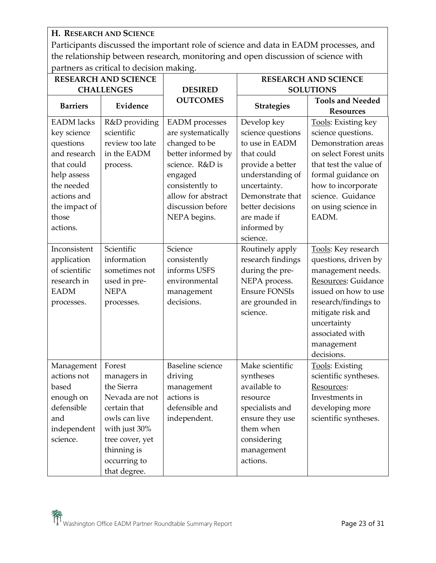**H. RESEARCH AND SCIENCE**

Participants discussed the important role of science and data in EADM processes, and the relationship between research, monitoring and open discussion of science with partners as critical to decision making.

| <b>RESEARCH AND SCIENCE</b> |                 |                         | <b>RESEARCH AND SCIENCE</b> |                                             |
|-----------------------------|-----------------|-------------------------|-----------------------------|---------------------------------------------|
| <b>CHALLENGES</b>           |                 | <b>DESIRED</b>          |                             | <b>SOLUTIONS</b>                            |
| <b>Barriers</b>             | Evidence        | <b>OUTCOMES</b>         | <b>Strategies</b>           | <b>Tools and Needed</b><br><b>Resources</b> |
| <b>EADM</b> lacks           | R&D providing   | <b>EADM</b> processes   | Develop key                 | Tools: Existing key                         |
| key science                 | scientific      | are systematically      | science questions           | science questions.                          |
| questions                   | review too late | changed to be           | to use in EADM              | Demonstration areas                         |
| and research                | in the EADM     | better informed by      | that could                  | on select Forest units                      |
| that could                  | process.        | science. R&D is         | provide a better            | that test the value of                      |
| help assess                 |                 | engaged                 | understanding of            | formal guidance on                          |
| the needed                  |                 | consistently to         | uncertainty.                | how to incorporate                          |
| actions and                 |                 | allow for abstract      | Demonstrate that            | science. Guidance                           |
| the impact of               |                 | discussion before       | better decisions            | on using science in                         |
| those                       |                 | NEPA begins.            | are made if                 | EADM.                                       |
| actions.                    |                 |                         | informed by                 |                                             |
|                             |                 |                         | science.                    |                                             |
| Inconsistent                | Scientific      | Science                 | Routinely apply             | Tools: Key research                         |
| application                 | information     | consistently            | research findings           | questions, driven by                        |
| of scientific               | sometimes not   | informs USFS            | during the pre-             | management needs.                           |
| research in                 | used in pre-    | environmental           | NEPA process.               | Resources: Guidance                         |
| <b>EADM</b>                 | <b>NEPA</b>     | management              | <b>Ensure FONSIs</b>        | issued on how to use                        |
| processes.                  | processes.      | decisions.              | are grounded in             | research/findings to                        |
|                             |                 |                         | science.                    | mitigate risk and                           |
|                             |                 |                         |                             | uncertainty                                 |
|                             |                 |                         |                             | associated with                             |
|                             |                 |                         |                             | management                                  |
|                             |                 |                         |                             | decisions.                                  |
| Management                  | Forest          | <b>Baseline</b> science | Make scientific             | Tools: Existing                             |
| actions not                 | managers in     | driving                 | syntheses                   | scientific syntheses.                       |
| based                       | the Sierra      | management              | available to                | Resources:                                  |
| enough on                   | Nevada are not  | actions is              | resource                    | Investments in                              |
| defensible                  | certain that    | defensible and          | specialists and             | developing more                             |
| and                         | owls can live   | independent.            | ensure they use             | scientific syntheses.                       |
| independent                 | with just 30%   |                         | them when                   |                                             |
| science.                    | tree cover, yet |                         | considering                 |                                             |
|                             | thinning is     |                         | management                  |                                             |
|                             | occurring to    |                         | actions.                    |                                             |
|                             | that degree.    |                         |                             |                                             |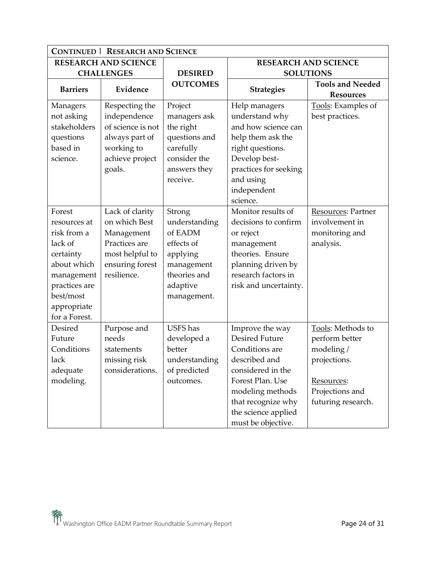| <b>CONTINUED   RESEARCH AND SCIENCE</b> |                             |                 |                       |                             |
|-----------------------------------------|-----------------------------|-----------------|-----------------------|-----------------------------|
|                                         | <b>RESEARCH AND SCIENCE</b> |                 |                       | <b>RESEARCH AND SCIENCE</b> |
|                                         | <b>CHALLENGES</b>           | <b>DESIRED</b>  |                       | <b>SOLUTIONS</b>            |
| <b>Barriers</b>                         | Evidence                    | <b>OUTCOMES</b> | <b>Strategies</b>     | <b>Tools and Needed</b>     |
|                                         |                             |                 |                       | <b>Resources</b>            |
| Managers                                | Respecting the              | Project         | Help managers         | Tools: Examples of          |
| not asking                              | independence                | managers ask    | understand why        | best practices.             |
| stakeholders                            | of science is not           | the right       | and how science can   |                             |
| questions                               | always part of              | questions and   | help them ask the     |                             |
| based in                                | working to                  | carefully       | right questions.      |                             |
| science.                                | achieve project             | consider the    | Develop best-         |                             |
|                                         | goals.                      | answers they    | practices for seeking |                             |
|                                         |                             | receive.        | and using             |                             |
|                                         |                             |                 | independent           |                             |
|                                         |                             |                 | science.              |                             |
| Forest                                  | Lack of clarity             | Strong          | Monitor results of    | Resources: Partner          |
| resources at                            | on which Best               | understanding   | decisions to confirm  | involvement in              |
| risk from a                             | Management                  | of EADM         | or reject             | monitoring and              |
| lack of                                 | Practices are               | effects of      | management            | analysis.                   |
| certainty                               | most helpful to             | applying        | theories. Ensure      |                             |
| about which                             | ensuring forest             | management      | planning driven by    |                             |
| management                              | resilience.                 | theories and    | research factors in   |                             |
| practices are                           |                             | adaptive        | risk and uncertainty. |                             |
| best/most                               |                             | management.     |                       |                             |
| appropriate                             |                             |                 |                       |                             |
| for a Forest.                           |                             |                 |                       |                             |
| Desired                                 | Purpose and                 | <b>USFS</b> has | Improve the way       | Tools: Methods to           |
| Future                                  | needs                       | developed a     | <b>Desired Future</b> | perform better              |
| Conditions                              | statements                  | better          | Conditions are        | modeling/                   |
| lack                                    | missing risk                | understanding   | described and         | projections.                |
| adequate                                | considerations.             | of predicted    | considered in the     |                             |
| modeling.                               |                             | outcomes.       | Forest Plan. Use      | Resources:                  |
|                                         |                             |                 | modeling methods      | Projections and             |
|                                         |                             |                 | that recognize why    | futuring research.          |
|                                         |                             |                 | the science applied   |                             |
|                                         |                             |                 | must be objective.    |                             |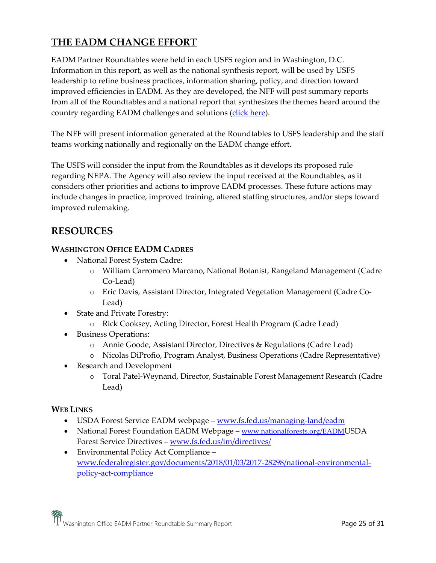## **THE EADM CHANGE EFFORT**

EADM Partner Roundtables were held in each USFS region and in Washington, D.C. Information in this report, as well as the national synthesis report, will be used by USFS leadership to refine business practices, information sharing, policy, and direction toward improved efficiencies in EADM. As they are developed, the NFF will post summary reports from all of the Roundtables and a national report that synthesizes the themes heard around the country regarding EADM challenges and solutions [\(click here\)](http://www.nationalforests.org/EADM).

The NFF will present information generated at the Roundtables to USFS leadership and the staff teams working nationally and regionally on the EADM change effort.

The USFS will consider the input from the Roundtables as it develops its proposed rule regarding NEPA. The Agency will also review the input received at the Roundtables, as it considers other priorities and actions to improve EADM processes. These future actions may include changes in practice, improved training, altered staffing structures, and/or steps toward improved rulemaking.

## **RESOURCES**

#### **WASHINGTON OFFICE EADM CADRES**

- National Forest System Cadre:
	- o William Carromero Marcano, National Botanist, Rangeland Management (Cadre Co-Lead)
	- o Eric Davis, Assistant Director, Integrated Vegetation Management (Cadre Co-Lead)
- State and Private Forestry:
	- o Rick Cooksey, Acting Director, Forest Health Program (Cadre Lead)
- Business Operations:
	- o Annie Goode, Assistant Director, Directives & Regulations (Cadre Lead)
	- o Nicolas DiProfio, Program Analyst, Business Operations (Cadre Representative)
- Research and Development
	- o Toral Patel-Weynand, Director, Sustainable Forest Management Research (Cadre Lead)

#### **WEB LINKS**

- USDA Forest Service EADM webpage [www.fs.fed.us/managing-land/eadm](http://www.fs.fed.us/managing-land/eadm)
- National Forest Foundation EADM Webpage [www.nationalforests.org/EADM](http://www.nationalforests.org/EADM)USDA Forest Service Directives – [www.fs.fed.us/im/directives/](https://www.fs.fed.us/im/directives/)
- Environmental Policy Act Compliance [www.federalregister.gov/documents/2018/01/03/2017-28298/national-environmental](http://www.federalregister.gov/documents/2018/01/03/2017-28298/national-environmental-policy-act-compliance)[policy-act-compliance](http://www.federalregister.gov/documents/2018/01/03/2017-28298/national-environmental-policy-act-compliance)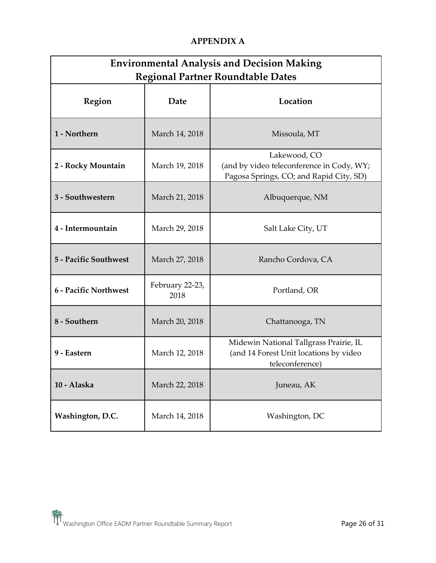## **APPENDIX A**

| <b>Environmental Analysis and Decision Making</b><br><b>Regional Partner Roundtable Dates</b> |                         |                                                                                                      |  |  |
|-----------------------------------------------------------------------------------------------|-------------------------|------------------------------------------------------------------------------------------------------|--|--|
| Region                                                                                        | Date                    | Location                                                                                             |  |  |
| 1 - Northern                                                                                  | March 14, 2018          | Missoula, MT                                                                                         |  |  |
| 2 - Rocky Mountain                                                                            | March 19, 2018          | Lakewood, CO<br>(and by video teleconference in Cody, WY;<br>Pagosa Springs, CO; and Rapid City, SD) |  |  |
| 3 - Southwestern                                                                              | March 21, 2018          | Albuquerque, NM                                                                                      |  |  |
| 4 - Intermountain                                                                             | March 29, 2018          | Salt Lake City, UT                                                                                   |  |  |
| 5 - Pacific Southwest                                                                         | March 27, 2018          | Rancho Cordova, CA                                                                                   |  |  |
| 6 - Pacific Northwest                                                                         | February 22-23,<br>2018 | Portland, OR                                                                                         |  |  |
| 8 - Southern                                                                                  | March 20, 2018          | Chattanooga, TN                                                                                      |  |  |
| 9 - Eastern                                                                                   | March 12, 2018          | Midewin National Tallgrass Prairie, IL<br>(and 14 Forest Unit locations by video<br>teleconference)  |  |  |
| 10 - Alaska                                                                                   | March 22, 2018          | Juneau, AK                                                                                           |  |  |
| Washington, D.C.                                                                              | March 14, 2018          | Washington, DC                                                                                       |  |  |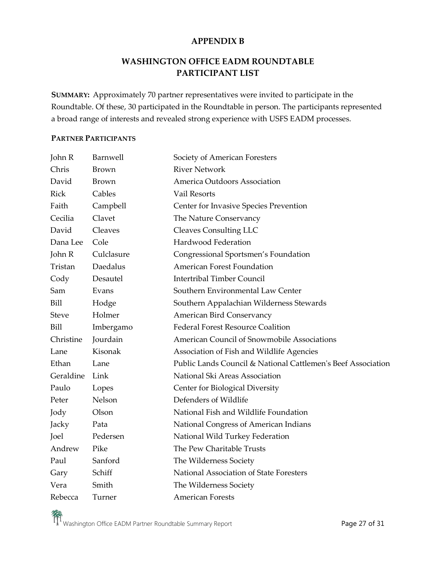#### **APPENDIX B**

## **WASHINGTON OFFICE EADM ROUNDTABLE PARTICIPANT LIST**

**SUMMARY:** Approximately 70 partner representatives were invited to participate in the Roundtable. Of these, 30 participated in the Roundtable in person. The participants represented a broad range of interests and revealed strong experience with USFS EADM processes.

#### **PARTNER PARTICIPANTS**

| John R       | Barnwell     | Society of American Foresters                                |
|--------------|--------------|--------------------------------------------------------------|
| Chris        | <b>Brown</b> | <b>River Network</b>                                         |
| David        | <b>Brown</b> | America Outdoors Association                                 |
| Rick         | Cables       | Vail Resorts                                                 |
| Faith        | Campbell     | Center for Invasive Species Prevention                       |
| Cecilia      | Clavet       | The Nature Conservancy                                       |
| David        | Cleaves      | <b>Cleaves Consulting LLC</b>                                |
| Dana Lee     | Cole         | Hardwood Federation                                          |
| John R       | Culclasure   | Congressional Sportsmen's Foundation                         |
| Tristan      | Daedalus     | <b>American Forest Foundation</b>                            |
| Cody         | Desautel     | <b>Intertribal Timber Council</b>                            |
| Sam          | Evans        | Southern Environmental Law Center                            |
| Bill         | Hodge        | Southern Appalachian Wilderness Stewards                     |
| <b>Steve</b> | Holmer       | American Bird Conservancy                                    |
| Bill         | Imbergamo    | <b>Federal Forest Resource Coalition</b>                     |
| Christine    | Jourdain     | American Council of Snowmobile Associations                  |
| Lane         | Kisonak      | Association of Fish and Wildlife Agencies                    |
| Ethan        | Lane         | Public Lands Council & National Cattlemen's Beef Association |
| Geraldine    | Link         | National Ski Areas Association                               |
| Paulo        | Lopes        | Center for Biological Diversity                              |
| Peter        | Nelson       | Defenders of Wildlife                                        |
| Jody         | Olson        | National Fish and Wildlife Foundation                        |
| Jacky        | Pata         | National Congress of American Indians                        |
| Joel         | Pedersen     | National Wild Turkey Federation                              |
| Andrew       | Pike         | The Pew Charitable Trusts                                    |
| Paul         | Sanford      | The Wilderness Society                                       |
| Gary         | Schiff       | National Association of State Foresters                      |
| Vera         | Smith        | The Wilderness Society                                       |
| Rebecca      | Turner       | <b>American Forests</b>                                      |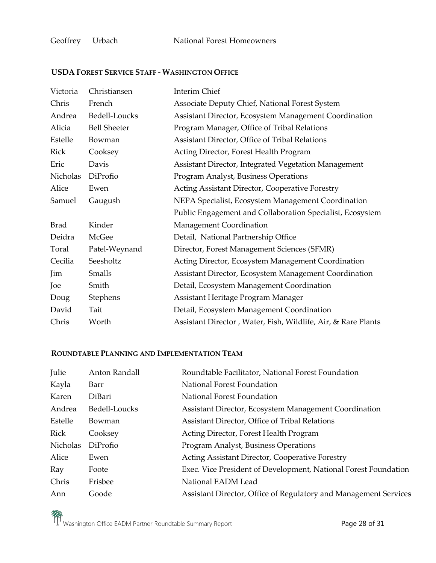#### **USDA FOREST SERVICE STAFF - WASHINGTON OFFICE**

| Victoria    | Christiansen        | <b>Interim Chief</b>                                          |
|-------------|---------------------|---------------------------------------------------------------|
| Chris       | French              | Associate Deputy Chief, National Forest System                |
| Andrea      | Bedell-Loucks       | Assistant Director, Ecosystem Management Coordination         |
| Alicia      | <b>Bell Sheeter</b> | Program Manager, Office of Tribal Relations                   |
| Estelle     | Bowman              | Assistant Director, Office of Tribal Relations                |
| Rick        | Cooksey             | Acting Director, Forest Health Program                        |
| Eric        | Davis               | Assistant Director, Integrated Vegetation Management          |
| Nicholas    | DiProfio            | Program Analyst, Business Operations                          |
| Alice       | Ewen                | Acting Assistant Director, Cooperative Forestry               |
| Samuel      | Gaugush             | NEPA Specialist, Ecosystem Management Coordination            |
|             |                     | Public Engagement and Collaboration Specialist, Ecosystem     |
| <b>Brad</b> | Kinder              | Management Coordination                                       |
| Deidra      | McGee               | Detail, National Partnership Office                           |
| Toral       | Patel-Weynand       | Director, Forest Management Sciences (SFMR)                   |
| Cecilia     | Seesholtz           | Acting Director, Ecosystem Management Coordination            |
| Jim         | Smalls              | Assistant Director, Ecosystem Management Coordination         |
| Joe         | Smith               | Detail, Ecosystem Management Coordination                     |
| Doug        | Stephens            | Assistant Heritage Program Manager                            |
| David       | Tait                | Detail, Ecosystem Management Coordination                     |
| Chris       | Worth               | Assistant Director, Water, Fish, Wildlife, Air, & Rare Plants |

## **ROUNDTABLE PLANNING AND IMPLEMENTATION TEAM**

| Julie       | Anton Randall | Roundtable Facilitator, National Forest Foundation               |
|-------------|---------------|------------------------------------------------------------------|
| Kayla       | Barr          | National Forest Foundation                                       |
| Karen       | DiBari        | National Forest Foundation                                       |
| Andrea      | Bedell-Loucks | Assistant Director, Ecosystem Management Coordination            |
| Estelle     | Bowman        | Assistant Director, Office of Tribal Relations                   |
| <b>Rick</b> | Cooksey       | Acting Director, Forest Health Program                           |
| Nicholas    | DiProfio      | Program Analyst, Business Operations                             |
| Alice       | Ewen          | Acting Assistant Director, Cooperative Forestry                  |
| Ray         | Foote         | Exec. Vice President of Development, National Forest Foundation  |
| Chris       | Frisbee       | National EADM Lead                                               |
| Ann         | Goode         | Assistant Director, Office of Regulatory and Management Services |

Washington Office EADM Partner Roundtable Summary Report **Page 28 of 31 Page 28 of 31**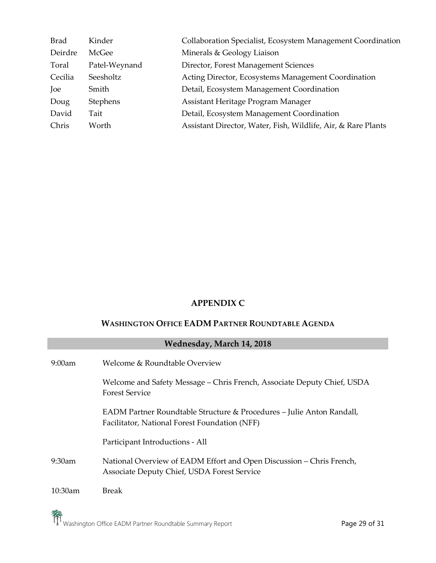| <b>Brad</b> | Kinder        | Collaboration Specialist, Ecosystem Management Coordination   |
|-------------|---------------|---------------------------------------------------------------|
| Deirdre     | McGee         | Minerals & Geology Liaison                                    |
| Toral       | Patel-Weynand | Director, Forest Management Sciences                          |
| Cecilia     | Seesholtz     | Acting Director, Ecosystems Management Coordination           |
| Joe         | Smith         | Detail, Ecosystem Management Coordination                     |
| Doug        | Stephens      | Assistant Heritage Program Manager                            |
| David       | Tait          | Detail, Ecosystem Management Coordination                     |
| Chris       | Worth         | Assistant Director, Water, Fish, Wildlife, Air, & Rare Plants |

## **APPENDIX C**

## **WASHINGTON OFFICE EADM PARTNER ROUNDTABLE AGENDA**

| Wednesday, March 14, 2018 |                                                                                                                        |  |
|---------------------------|------------------------------------------------------------------------------------------------------------------------|--|
| $9:00$ am                 | Welcome & Roundtable Overview                                                                                          |  |
|                           | Welcome and Safety Message - Chris French, Associate Deputy Chief, USDA<br><b>Forest Service</b>                       |  |
|                           | EADM Partner Roundtable Structure & Procedures – Julie Anton Randall,<br>Facilitator, National Forest Foundation (NFF) |  |
|                           | Participant Introductions - All                                                                                        |  |
| $9:30$ am                 | National Overview of EADM Effort and Open Discussion – Chris French,<br>Associate Deputy Chief, USDA Forest Service    |  |
| 10:30am                   | <b>Break</b>                                                                                                           |  |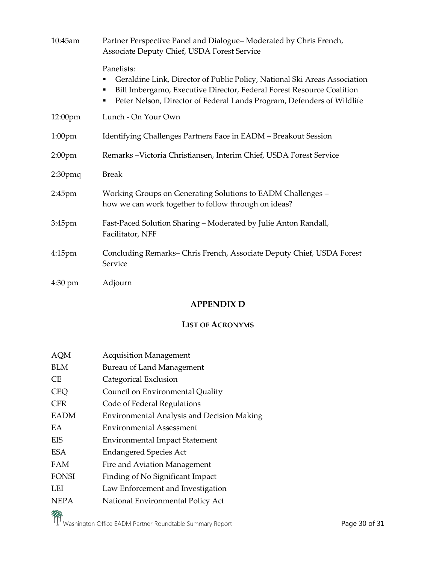| 10:45am           | Partner Perspective Panel and Dialogue-Moderated by Chris French,<br>Associate Deputy Chief, USDA Forest Service                                                                                                                                |  |
|-------------------|-------------------------------------------------------------------------------------------------------------------------------------------------------------------------------------------------------------------------------------------------|--|
|                   | Panelists:<br>Geraldine Link, Director of Public Policy, National Ski Areas Association<br>Bill Imbergamo, Executive Director, Federal Forest Resource Coalition<br>п<br>Peter Nelson, Director of Federal Lands Program, Defenders of Wildlife |  |
| 12:00pm           | Lunch - On Your Own                                                                                                                                                                                                                             |  |
| $1:00$ pm         | Identifying Challenges Partners Face in EADM - Breakout Session                                                                                                                                                                                 |  |
| $2:00$ pm         | Remarks - Victoria Christiansen, Interim Chief, USDA Forest Service                                                                                                                                                                             |  |
| $2:30$ pmq        | <b>Break</b>                                                                                                                                                                                                                                    |  |
| $2:45$ pm         | Working Groups on Generating Solutions to EADM Challenges -<br>how we can work together to follow through on ideas?                                                                                                                             |  |
| $3:45$ pm         | Fast-Paced Solution Sharing - Moderated by Julie Anton Randall,<br>Facilitator, NFF                                                                                                                                                             |  |
| $4:15$ pm         | Concluding Remarks-Chris French, Associate Deputy Chief, USDA Forest<br>Service                                                                                                                                                                 |  |
| $4:30 \text{ pm}$ | Adjourn                                                                                                                                                                                                                                         |  |

## **APPENDIX D**

## **LIST OF ACRONYMS**

| AQM          | <b>Acquisition Management</b>                     |
|--------------|---------------------------------------------------|
| <b>BLM</b>   | Bureau of Land Management                         |
| CE.          | Categorical Exclusion                             |
| <b>CEQ</b>   | Council on Environmental Quality                  |
| <b>CFR</b>   | Code of Federal Regulations                       |
| <b>EADM</b>  | <b>Environmental Analysis and Decision Making</b> |
| EA.          | <b>Environmental Assessment</b>                   |
| EIS          | <b>Environmental Impact Statement</b>             |
| ESA          | <b>Endangered Species Act</b>                     |
| FAM          | Fire and Aviation Management                      |
| <b>FONSI</b> | Finding of No Significant Impact                  |
| LEI          | Law Enforcement and Investigation                 |
| <b>NEPA</b>  | National Environmental Policy Act                 |
|              |                                                   |